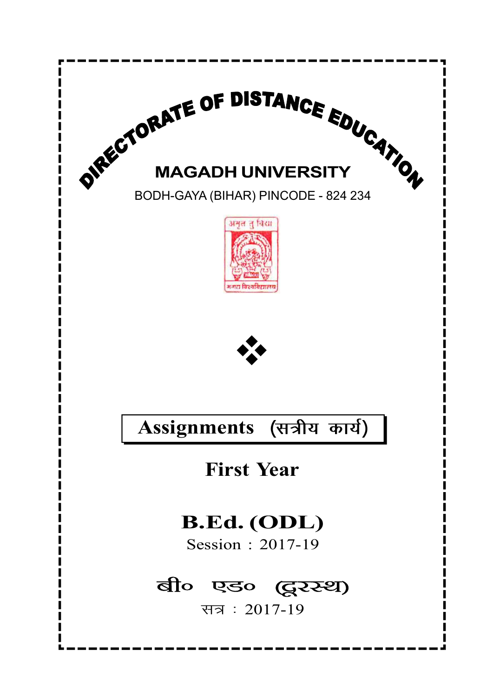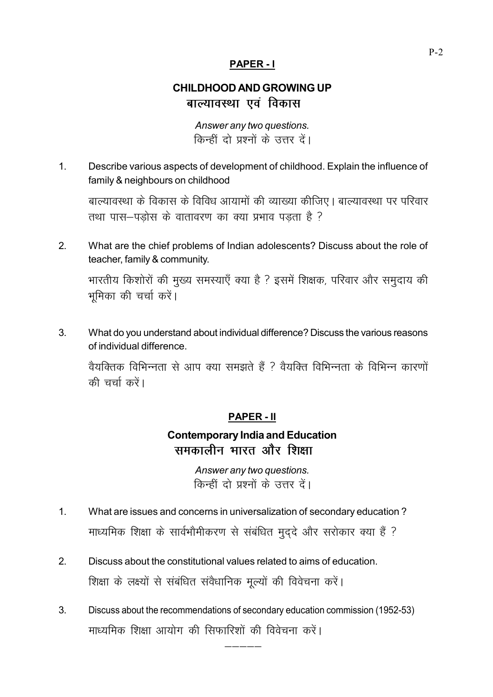#### PAPER - I

## CHILDHOOD AND GROWING UP बाल्यावस्था एवं विकास

Answer any two questions. किन्हीं दो प्रश्नों के उत्तर दें।

1. Describe various aspects of development of childhood. Explain the influence of family & neighbours on childhood

बाल्यावस्था के विकास के विविध आयामों की व्याख्या कीजिए। बाल्यावस्था पर परिवार  $\frac{1}{2}$  तथा पास-पड़ोस के वातावरण का क्या प्रभाव पड़ता है ?

2. What are the chief problems of Indian adolescents? Discuss about the role of teacher, family & community.

भारतीय किशोरों की मुख्य समस्याएँ क्या है ? इसमें शिक्षक, परिवार और समुदाय की भूमिका की चर्चा करें।

3. What do you understand about individual difference? Discuss the various reasons of individual difference.

वैयक्तिक विभिन्नता से आप क्या समझते हैं ? वैयक्ति विभिन्नता के विभिन्न कारणों की चर्चा करें।

#### PAPER - II

## Contemporary India and Education समकालीन भारत और शिक्षा

Answer any two questions. किन्हीं दो प्रश्नों के उत्तर दें।

- 1. What are issues and concerns in universalization of secondary education ? माध्यमिक शिक्षा के सार्वभौमीकरण से संबंधित मुद्दे और सरोकार क्या हैं ?
- 2. Discuss about the constitutional values related to aims of education. शिक्षा के लक्ष्यों से संबंधित संवैधानिक मूल्यों की विवेचना करें।
- 3. Discuss about the recommendations of secondary education commission (1952-53) माध्यमिक शिक्षा आयोग की सिफारिशों की विवेचना करें।

————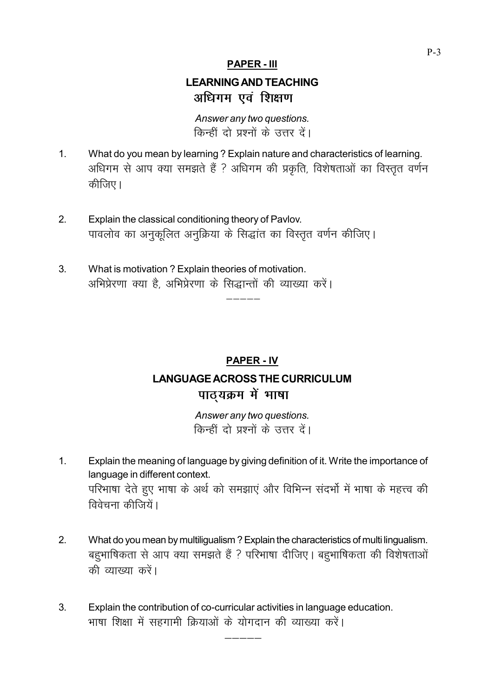#### PAPER - III

## LEARNING AND TEACHING अधिगम एवं शिक्षण

Answer any two questions. किन्हीं दो प्रश्नों के उत्तर दें।

- 1. What do you mean by learning ? Explain nature and characteristics of learning. अधिगम से आप क्या समझते हैं ? अधिगम की प्रकृति, विशेषताओं का विस्तृत वर्णन कीजिए।
- 2. Explain the classical conditioning theory of Pavlov. पावलोव का अनुकूलित अनुक्रिया के सिद्धांत का विस्तृत वर्णन कीजिए।
- 3. What is motivation ? Explain theories of motivation. अभिप्रेरणा क्या है, अभिप्रेरणा के सिद्धान्तों की व्याख्या करें।

# PAPER - IV LANGUAGE ACROSS THE CURRICULUM पाठ्यक्रम में भाषा

————

Answer any two questions. किन्हीं दो प्रश्नों के उत्तर दें।

- 1. Explain the meaning of language by giving definition of it. Write the importance of language in different context. परिभाषा देते हुए भाषा के अर्थ को समझाएं और विभिन्न संदर्भो में भाषा के महत्त्व की विवेचना कीत्तियें।
- 2. What do you mean by multiligualism ? Explain the characteristics of multi lingualism. बहुभाषिकता से आप क्या समझते हैं ? परिभाषा दीजिए। बहुभाषिकता की विशेषताओं की व्याख्या करें।

————

3. Explain the contribution of co-curricular activities in language education. भाषा शिक्षा में सहगामी क्रियाओं के योगदान की व्याख्या करें।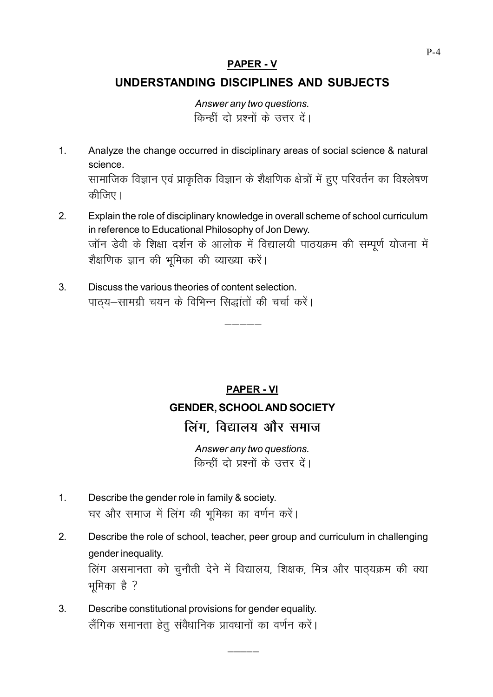#### **PAPER - V**

### UNDERSTANDING DISCIPLINES AND SUBJECTS

Answer any two questions. किन्हीं दो प्रश्नों के उत्तर दें।

- $\overline{1}$ Analyze the change occurred in disciplinary areas of social science & natural science. सामाजिक विज्ञान एवं प्राकृतिक विज्ञान के शैक्षणिक क्षेत्रों में हुए परिवर्तन का विश्लेषण कीजिए।
- Explain the role of disciplinary knowledge in overall scheme of school curriculum  $2<sub>1</sub>$ in reference to Educational Philosophy of Jon Dewy. जॉन डेवी के शिक्षा दर्शन के आलोक में विद्यालयी पाठयक्रम की सम्पूर्ण योजना में शैक्षणिक ज्ञान की भूमिका की व्याख्या करें।
- Discuss the various theories of content selection.  $3<sub>l</sub>$ पाठ्य-सामग्री चयन के विभिन्न सिद्धांतों की चर्चा करें।

# **PAPER - VI GENDER, SCHOOL AND SOCIETY** लिंग. विद्यालय और समाज

Answer any two questions. किन्हीं दो प्रश्नों के उत्तर दें।

- $\overline{1}$ Describe the gender role in family & society. घर और समाज में लिंग की भूमिका का वर्णन करें।
- $2<sub>1</sub>$ Describe the role of school, teacher, peer group and curriculum in challenging gender inequality.

लिंग असमानता को चुनौती देने में विद्यालय, शिक्षक, मित्र और पाठ्यक्रम की क्या भूमिका है ?

 $3<sub>1</sub>$ Describe constitutional provisions for gender equality. लैंगिक समानता हेतू संवैधानिक प्रावधानों का वर्णन करें।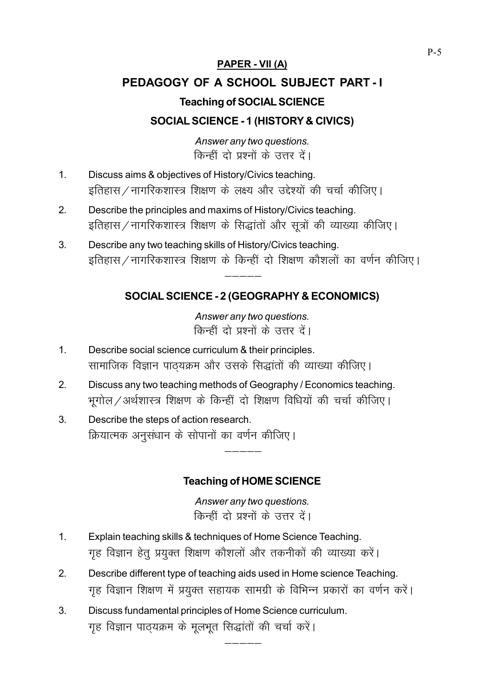## PAPER - VII (A)

# PEDAGOGY OF A SCHOOL SUBJECT PART - I Teaching of SOCIAL SCIENCE

## SOCIAL SCIENCE - 1 (HISTORY & CIVICS)

Answer any two questions. किन्हीं दो प्रश्नों के उत्तर दें।

- 1. Discuss aims & objectives of History/Civics teaching. इतिहास / नागरिकशास्त्र शिक्षण के लक्ष्य और उद्देश्यों की चर्चा कीजिए।
- 2. Describe the principles and maxims of History/Civics teaching. इतिहास/नागरिकशास्त्र शिक्षण के सिद्धांतों और सूत्रों की व्याख्या कीजिए।
- 3. Describe any two teaching skills of History/Civics teaching. इतिहास / नागरिकशास्त्र शिक्षण के किन्हीं दो शिक्षण कौशलों का वर्णन कीजिए।

 $------$ 

## SOCIAL SCIENCE - 2 (GEOGRAPHY & ECONOMICS)

Answer any two questions. किन्हीं दो प्रश्नों के उत्तर दें।

- 1. Describe social science curriculum & their principles. सामाजिक विज्ञान पाठयक्रम और उसके सिद्धांतों की व्याख्या कीजिए।
- 2. Discuss any two teaching methods of Geography / Economics teaching. भूगोल / अर्थशास्त्र शिक्षण के किन्हीं दो शिक्षण विधियों की चर्चा कीजिए।
- 3. Describe the steps of action research. क्रियात्मक अनुसंधान के सोपानों का वर्णन कीजिए।

### Teaching of HOME SCIENCE

 $------$ 

Answer any two questions. किन्हीं दो प्रश्नों के उत्तर दें।

- 1. Explain teaching skills & techniques of Home Science Teaching. गृह विज्ञान हेतू प्रयुक्त शिक्षण कौशलों और तकनीकों की व्याख्या करें।
- 2. Describe different type of teaching aids used in Home science Teaching. गृह विज्ञान शिक्षण में प्रयुक्त सहायक सामग्री के विभिन्न प्रकारों का वर्णन करें।

————

3. Discuss fundamental principles of Home Science curriculum. गृह विज्ञान पाठ्यक्रम के मूलभूत सिद्धांतों की चर्चा करें।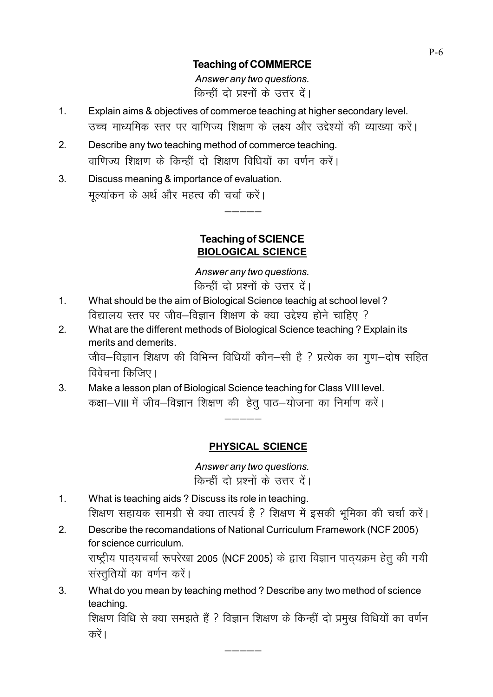#### Teaching of COMMERCE

Answer any two questions. किन्हीं दो प्रश्नों के उत्तर दें।

- 1. Explain aims & objectives of commerce teaching at higher secondary level. उच्च माध्यमिक स्तर पर वाणिज्य शिक्षण के लक्ष्य और उद्देश्यों की व्याख्या करें।
- 2. Describe any two teaching method of commerce teaching. वाणिज्य शिक्षण के किन्हीं दो शिक्षण विधियों का वर्णन करें।
- 3. Discuss meaning & importance of evaluation. मुल्यांकन के अर्थ और महत्व की चर्चा करें।

#### Teaching of SCIENCE BIOLOGICAL SCIENCE

 $------$ 

Answer any two questions. किन्हीं दो प्रश्नों के उत्तर दें।

- 1. What should be the aim of Biological Science teachig at school level ? विद्यालय स्तर पर जीव–विज्ञान शिक्षण के क्या उद्देश्य होने चाहिए ?
- 2. What are the different methods of Biological Science teaching ? Explain its merits and demerits. जीव-विज्ञान शिक्षण की विभिन्न विधियाँ कौन-सी है ? प्रत्येक का गूण-दोष सहित विवेचना किजिए।

 $------$ 

3. Make a lesson plan of Biological Science teaching for Class VIII level. कक्षा-VIII में जीव-विज्ञान शिक्षण की हेतु पाठ-योजना का निर्माण करें।

### PHYSICAL SCIENCE

Answer any two questions. किन्हीं दो प्रश्नों के उत्तर दें।

- 1. What is teaching aids ? Discuss its role in teaching. शिक्षण सहायक सामग्री से क्या तात्पर्य है ? शिक्षण में इसकी भूमिका की चर्चा करें।
- 2. Describe the recomandations of National Curriculum Framework (NCF 2005) for science curriculum. राष्ट्रीय पाठयचर्चा रूपरेखा 2005 (NCF 2005) के द्वारा विज्ञान पाठयक्रम हेतु की गयी संस्तुतियों का वर्णन करें।
- 3. What do you mean by teaching method ? Describe any two method of science teaching. शिक्षण विधि से क्या समझते हैं ? विज्ञान शिक्षण के किन्हीं दो प्रमुख विधियों का वर्णन करें ।

————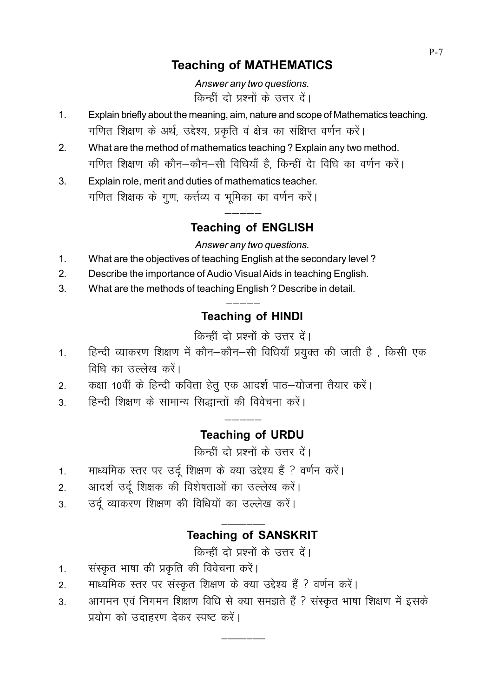# **Teaching of MATHEMATICS**

Answer any two questions. किन्हीं दो प्रश्नों के उत्तर दें।

- Explain briefly about the meaning, aim, nature and scope of Mathematics teaching.  $\mathbf{1}$ गणित शिक्षण के अर्थ, उद्देश्य, प्रकृति वं क्षेत्र का संक्षिप्त वर्णन करें।
- What are the method of mathematics teaching? Explain any two method.  $2.$ गणित शिक्षण की कौन–कौन–सी विधियाँ है, किन्हीं देा विधि का वर्णन करें।
- Explain role, merit and duties of mathematics teacher.  $3.$ गणित शिक्षक के गुण, कर्त्तव्य व भूमिका का वर्णन करें।

# **Teaching of ENGLISH**

#### Answer any two questions.

- $1.$ What are the objectives of teaching English at the secondary level?
- $2.$ Describe the importance of Audio Visual Aids in teaching English.
- $3.$ What are the methods of teaching English? Describe in detail.

# **Teaching of HINDI**

किन्हीं दो प्रश्नों के उत्तर दें।

- हिन्दी व्याकरण शिक्षण में कौन-कौन-सी विधियाँ प्रयुक्त की जाती है, किसी एक  $1<sub>1</sub>$ विधि का उल्लेख करें।
- कक्षा 10वीं के हिन्दी कविता हेतू एक आदर्श पाठ-योजना तैयार करें।  $2.$
- हिन्दी शिक्षण के सामान्य सिद्धान्तों की विवेचना करें।  $\mathcal{S}$

# **Teaching of URDU**

किन्हीं दो प्रश्नों के उत्तर दें।

- माध्यमिक स्तर पर उर्दू शिक्षण के क्या उद्देश्य हैं ? वर्णन करें।  $\mathbf{1}$ .
- आदर्श उर्दू शिक्षक की विशेषताओं का उल्लेख करें।  $\overline{2}$ .
- उर्दू व्याकरण शिक्षण की विधियों का उल्लेख करें।  $\mathcal{S}$

## **Teaching of SANSKRIT**

किन्हीं दो प्रश्नों के उत्तर दें।

- संस्कृत भाषा की प्रकृति की विवेचना करें।  $1.$
- माध्यमिक स्तर पर संस्कृत शिक्षण के क्या उद्देश्य हैं ? वर्णन करें।  $\mathcal{P}$
- आगमन एवं निगमन शिक्षण विधि से क्या समझते हैं ? संस्कृत भाषा शिक्षण में इसके  $3<sub>l</sub>$ प्रयोग को उदाहरण देकर स्पष्ट करें।